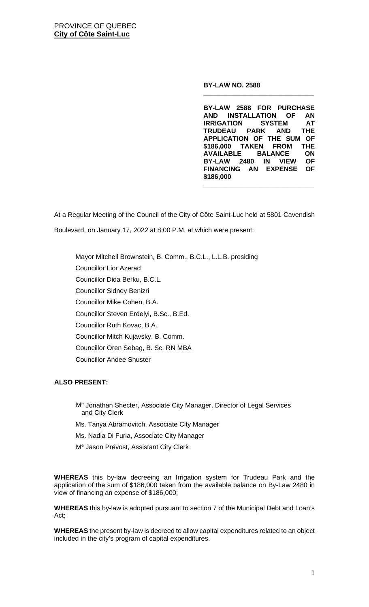**BY-LAW NO. 2588**

**BY-LAW 2588 FOR PURCHASE AND INSTALLATION OF AN IRRIGATION SYSTEM AT TRUDEAU APPLICATION OF THE SUM OF \$186,000 TAKEN FROM THE AVAILABLE BALANCE ON BY-LAW 2480 IN VIEW FINANCING AN EXPENSE OF \$186,000**

**\_\_\_\_\_\_\_\_\_\_\_\_\_\_\_\_\_\_\_\_\_\_\_\_\_\_\_\_\_\_**

**\_\_\_\_\_\_\_\_\_\_\_\_\_\_\_\_\_\_\_\_\_\_\_\_\_\_\_\_\_\_**

At a Regular Meeting of the Council of the City of Côte Saint-Luc held at 5801 Cavendish Boulevard, on January 17, 2022 at 8:00 P.M. at which were present:

Mayor Mitchell Brownstein, B. Comm., B.C.L., L.L.B. presiding

Councillor Lior Azerad

Councillor Dida Berku, B.C.L.

Councillor Sidney Benizri

Councillor Mike Cohen, B.A.

Councillor Steven Erdelyi, B.Sc., B.Ed.

Councillor Ruth Kovac, B.A.

Councillor Mitch Kujavsky, B. Comm.

Councillor Oren Sebag, B. Sc. RN MBA

Councillor Andee Shuster

## **ALSO PRESENT:**

- Me Jonathan Shecter, Associate City Manager, Director of Legal Services and City Clerk
- Ms. Tanya Abramovitch, Associate City Manager
- Ms. Nadia Di Furia, Associate City Manager
- Me Jason Prévost, Assistant City Clerk

**WHEREAS** this by-law decreeing an Irrigation system for Trudeau Park and the application of the sum of \$186,000 taken from the available balance on By-Law 2480 in view of financing an expense of \$186,000;

**WHEREAS** this by-law is adopted pursuant to section 7 of the Municipal Debt and Loan's Act;

**WHEREAS** the present by-law is decreed to allow capital expenditures related to an object included in the city's program of capital expenditures.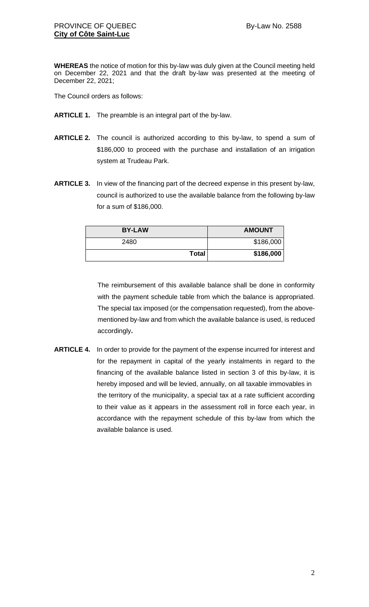**WHEREAS** the notice of motion for this by-law was duly given at the Council meeting held on December 22, 2021 and that the draft by-law was presented at the meeting of December 22, 2021;

The Council orders as follows:

- **ARTICLE 1.** The preamble is an integral part of the by-law.
- **ARTICLE 2.** The council is authorized according to this by-law, to spend a sum of \$186,000 to proceed with the purchase and installation of an irrigation system at Trudeau Park.
- **ARTICLE 3.** In view of the financing part of the decreed expense in this present by-law, council is authorized to use the available balance from the following by-law for a sum of \$186,000.

| <b>BY-LAW</b> | <b>AMOUNT</b> |
|---------------|---------------|
| 2480          | \$186,000     |
| <b>Total</b>  | \$186,000     |

The reimbursement of this available balance shall be done in conformity with the payment schedule table from which the balance is appropriated. The special tax imposed (or the compensation requested), from the abovementioned by-law and from which the available balance is used, is reduced accordingly**.**

**ARTICLE 4.** In order to provide for the payment of the expense incurred for interest and for the repayment in capital of the yearly instalments in regard to the financing of the available balance listed in section 3 of this by-law, it is hereby imposed and will be levied, annually, on all taxable immovables in the territory of the municipality, a special tax at a rate sufficient according to their value as it appears in the assessment roll in force each year, in accordance with the repayment schedule of this by-law from which the available balance is used.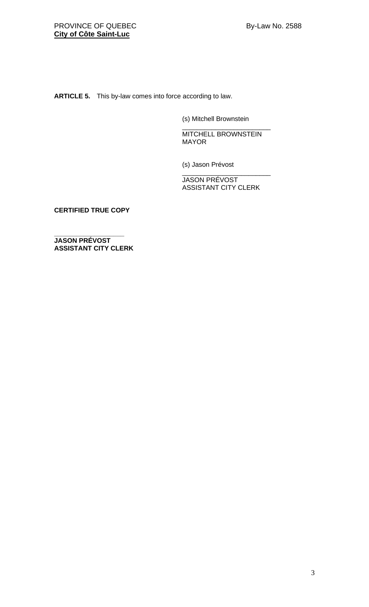**ARTICLE 5.** This by-law comes into force according to law.

(s) Mitchell Brownstein

\_\_\_\_\_\_\_\_\_\_\_\_\_\_\_\_\_\_\_\_\_\_\_\_ MITCHELL BROWNSTEIN MAYOR

(s) Jason Prévost

\_\_\_\_\_\_\_\_\_\_\_\_\_\_\_\_\_\_\_\_\_\_\_\_ JASON PRÉVOST ASSISTANT CITY CLERK

**CERTIFIED TRUE COPY**

**\_\_\_\_\_\_\_\_\_\_\_\_\_\_\_\_\_\_\_ JASON PRÉVOST ASSISTANT CITY CLERK**